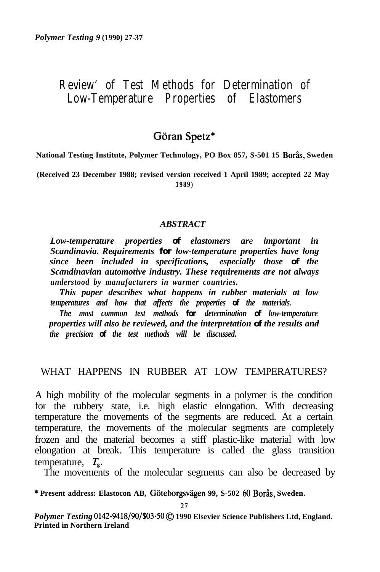# **Review' of Test Methods for Determination of Low-Temperature Properties of Elastomers**

# $G\ddot{\text{o}}$ ran Spetz\*

**National Testing Institute, Polymer Technology, PO Box 857, S-501 15 Bor&s, Sweden**

**(Received 23 December 1988; revised version received 1 April 1989; accepted 22 May 1989)**

#### *ABSTRACT*

*Low-temperature properties of elastomers are important in Scandinavia. Requirements for low-temperature properties have long since been included in specifications, especially those of the Scandinavian automotive industry. These requirements are not always understood by manufacturers in warmer countries.*

*This paper describes what happens in rubber materials at low temperatures and how that affects the properties of the materials.*

*The most common test methods for determination of low-temperature properties will also be reviewed, and the interpretation of the results and the precision of the test methods will be discussed.*

### WHAT HAPPENS IN RUBBER AT LOW TEMPERATURES?

A high mobility of the molecular segments in a polymer is the condition for the rubbery state, i.e. high elastic elongation. With decreasing temperature the movements of the segments are reduced. At a certain temperature, the movements of the molecular segments are completely frozen and the material becomes a stiff plastic-like material with low elongation at break. This temperature is called the glass transition temperature, *Tg.*

The movements of the molecular segments can also be decreased by

**\* Present address: Elastocon AB, Goteborgsvagen 99, S-502 60 Boras, Sweden.**

Polymer Testing 0142-9418/90/\$03·50  $\copyright$  1990 Elsevier Science Publishers Ltd, England. **Printed in Northern Ireland**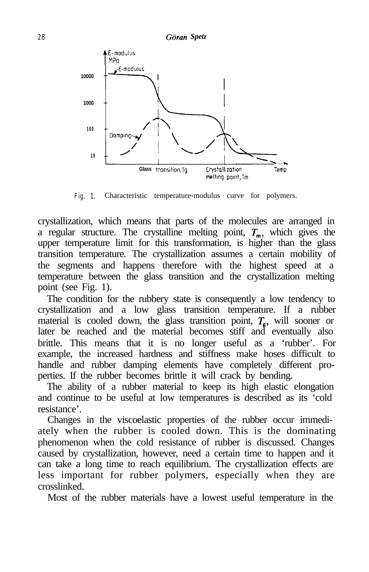

Fig. 1. Characteristic temperature-modulus curve for polymers.

crystallization, which means that parts of the molecules are arranged in a regular structure. The crystalline melting point,  $T_m$ , which gives the upper temperature limit for this transformation, is higher than the glass transition temperature. The crystallization assumes a certain mobility of the segments and happens therefore with the highest speed at a temperature between the glass transition and the crystallization melting point (see Fig. 1).

The condition for the rubbery state is consequently a low tendency to crystallization and a low glass transition temperature. If a rubber material is cooled down, the glass transition point,  $T<sub>e</sub>$ , will sooner or later be reached and the material becomes stiff and eventually also brittle. This means that it is no longer useful as a 'rubber'. For example, the increased hardness and stiffness make hoses difficult to handle and rubber damping elements have completely different properties. If the rubber becomes brittle it will crack by bending.

The ability of a rubber material to keep its high elastic elongation and continue to be useful at low temperatures is described as its 'cold resistance'.

Changes in the viscoelastic properties of the rubber occur immediately when the rubber is cooled down. This is the dominating phenomenon when the cold resistance of rubber is discussed. Changes caused by crystallization, however, need a certain time to happen and it can take a long time to reach equilibrium. The crystallization effects are less important for rubber polymers, especially when they are crosslinked.

Most of the rubber materials have a lowest useful temperature in the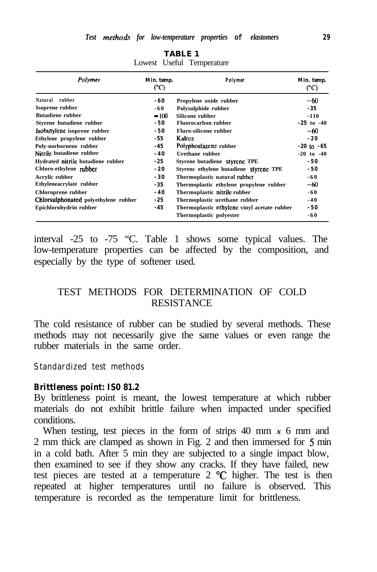| Polymer                              | Min. temp.<br>(°C) | Polymer                                     | Min. temp.<br>(°C) |
|--------------------------------------|--------------------|---------------------------------------------|--------------------|
| Natural rubber                       | -60                | Propylene oxide rubber                      | $-60$              |
| Isoprene rubber                      | -60                | Polysulphide rubber                         | $-35$              |
| <b>Butadiene rubber</b>              | $-100$             | Silicone rubber                             | $-110$             |
| Styrene butadiene rubber             | $-50$              | <b>Fluorocarbon rubber</b>                  | $-25$ to $-40$     |
| Isobutylene isoprene rubber          | $-50$              | <b>Fluro-silicone rubber</b>                | $-60$              |
| Ethylene propylene rubber            | $-5.5$             | Kalrez                                      | $-20$              |
| Poly-norbornene rubber               | $-45$              | Polyphosfazene rubber                       | $-20$ to $-65$     |
| Nitrile butadiene rubber             | $-40$              | Urethane rubber                             | $-20$ to $-40$     |
| Hydrated nitrile butadiene rubber    | $-2.5$             | Styrene butadiene styrene TPE               | $-50$              |
| Chloro-ethylene rubber               | $-20$              | Styrenc ethylene butadiene Styrene TPE      | $-50$              |
| Acrylic rubber                       | $-30$              | Thermoplastic natural rubber                | -60                |
| Ethyleneacrylate rubber              | $-35$              | Thermoplastic ethylene propylene rubber     | $-60$              |
| Chloroprene rubber                   | $-40$              | Thermoplastic nitrile rubber                | -60                |
| Chlorsulphonated polyethylene rubber | $-2.5$             | Thermoplastic urethane rubber               | $-40$              |
| Epichlorohydrin rubber               | $-45$              | Thermoplastic ethylene vinyl acetate rubber | $-50$              |
|                                      |                    | Thermoplastic polyester                     | -60                |

**TABLE 1** Lowest Useful Temperature

interval -25 to -75 "C. Table 1 shows some typical values. The low-temperature properties can be affected by the composition, and especially by the type of softener used.

# TEST METHODS FOR DETERMINATION OF COLD RESISTANCE

The cold resistance of rubber can be studied by several methods. These methods may not necessarily give the same values or even range the rubber materials in the same order.

### **Standardized test methods**

#### *Brittleness point: IS0 81.2*

By brittleness point is meant, the lowest temperature at which rubber materials do not exhibit brittle failure when impacted under specified conditions.

When testing, test pieces in the form of strips 40 mm *x* 6 mm and 2 mm thick are clamped as shown in Fig. 2 and then immersed for 5 min in a cold bath. After 5 min they are subjected to a single impact blow, then examined to see if they show any cracks. If they have failed, new test pieces are tested at a temperature 2 "C higher. The test is then repeated at higher temperatures until no failure is observed. This temperature is recorded as the temperature limit for brittleness.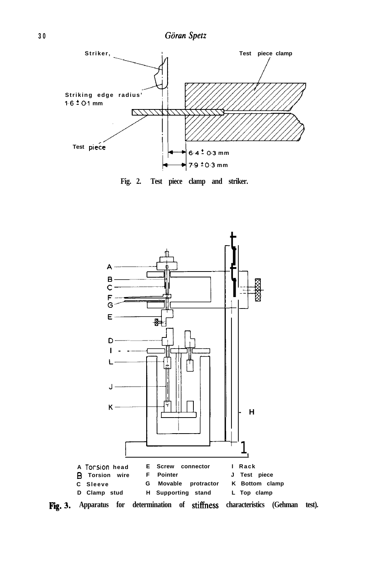

**Fig. 2. Test piece clamp and striker.**

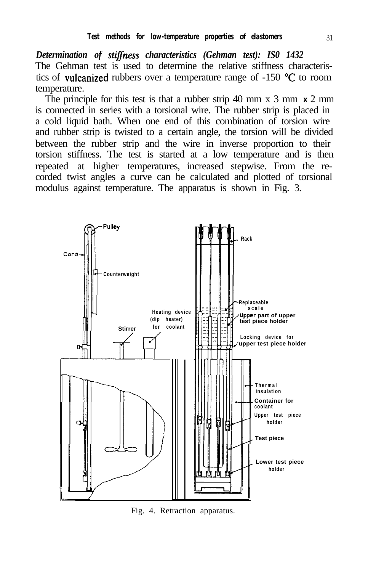*Determination of stiflness characteristics (Gehman test): IS0 1432* The Gehman test is used to determine the relative stiffness characteristics of vulcanized rubbers over a temperature range of -150 "C to room temperature.

The principle for this test is that a rubber strip 40 mm x 3 mm *x* 2 mm is connected in series with a torsional wire. The rubber strip is placed in a cold liquid bath. When one end of this combination of torsion wire and rubber strip is twisted to a certain angle, the torsion will be divided between the rubber strip and the wire in inverse proportion to their torsion stiffness. The test is started at a low temperature and is then repeated at higher temperatures, increased stepwise. From the recorded twist angles a curve can be calculated and plotted of torsional modulus against temperature. The apparatus is shown in Fig. 3.



Fig. 4. Retraction apparatus.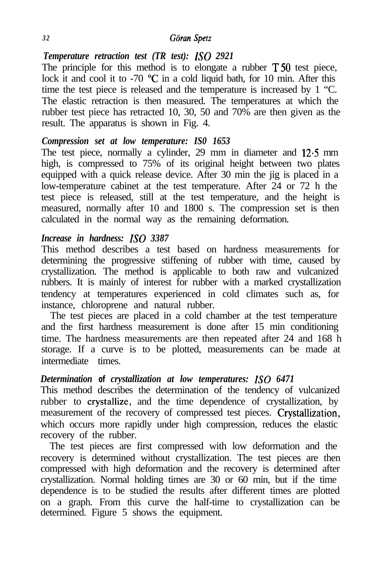### *3 2 Giiran Spetz*

# *Temperature retraction test (TR test): IS0 2921*

The principle for this method is to elongate a rubber  $T\overline{50}$  test piece, lock it and cool it to -70 °C in a cold liquid bath, for 10 min. After this time the test piece is released and the temperature is increased by 1 "C. The elastic retraction is then measured. The temperatures at which the rubber test piece has retracted 10, 30, 50 and 70% are then given as the result. The apparatus is shown in Fig. 4.

### *Compression set at low temperature: IS0 1653*

The test piece, normally a cylinder, 29 mm in diameter and 12.5 mm high, is compressed to 75% of its original height between two plates equipped with a quick release device. After 30 min the jig is placed in a low-temperature cabinet at the test temperature. After 24 or 72 h the test piece is released, still at the test temperature, and the height is measured, normally after 10 and 1800 s. The compression set is then calculated in the normal way as the remaining deformation.

# *Increase in hardness: IS0 3387*

This method describes a test based on hardness measurements for determining the progressive stiffening of rubber with time, caused by crystallization. The method is applicable to both raw and vulcanized rubbers. It is mainly of interest for rubber with a marked crystallization tendency at temperatures experienced in cold climates such as, for instance, chloroprene and natural rubber.

The test pieces are placed in a cold chamber at the test temperature and the first hardness measurement is done after 15 min conditioning time. The hardness measurements are then repeated after 24 and 168 h storage. If a curve is to be plotted, measurements can be made at intermediate times.

# *Determination of crystallization at low temperatures: IS0 6471*

This method describes the determination of the tendency of vulcanized rubber to crystallize, and the time dependence of crystallization, by measurement of the recovery of compressed test pieces. Crystallization, which occurs more rapidly under high compression, reduces the elastic recovery of the rubber.

The test pieces are first compressed with low deformation and the recovery is determined without crystallization. The test pieces are then compressed with high deformation and the recovery is determined after crystallization. Normal holding times are 30 or 60 min, but if the time dependence is to be studied the results after different times are plotted on a graph. From this curve the half-time to crystallization can be determined. Figure 5 shows the equipment.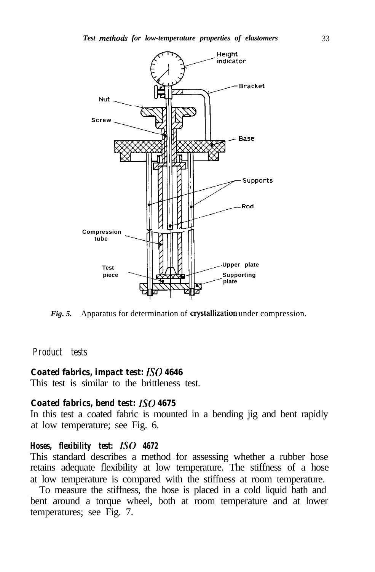

*Fig. 5.* Apparatus for determination of crystallization under compression.

#### **Product tests**

#### *Coated fabrics, impact test: IS0 4646*

This test is similar to the brittleness test.

#### *Coated fabrics, bend test: IS0 4675*

In this test a coated fabric is mounted in a bending jig and bent rapidly at low temperature; see Fig. 6.

#### *Hoses, flexibility test: IS0 4672*

This standard describes a method for assessing whether a rubber hose retains adequate flexibility at low temperature. The stiffness of a hose at low temperature is compared with the stiffness at room temperature.

To measure the stiffness, the hose is placed in a cold liquid bath and bent around a torque wheel, both at room temperature and at lower temperatures; see Fig. 7.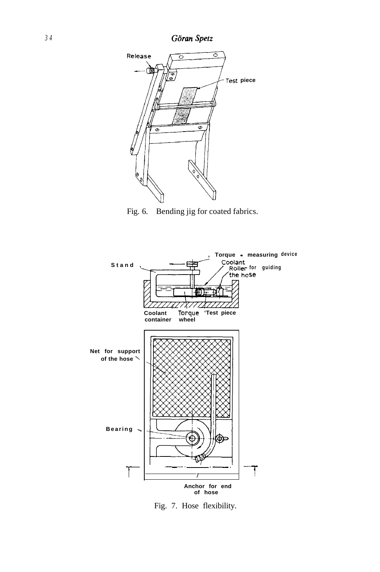

Fig. 6. Bending jig for coated fabrics.



Fig. 7. Hose flexibility.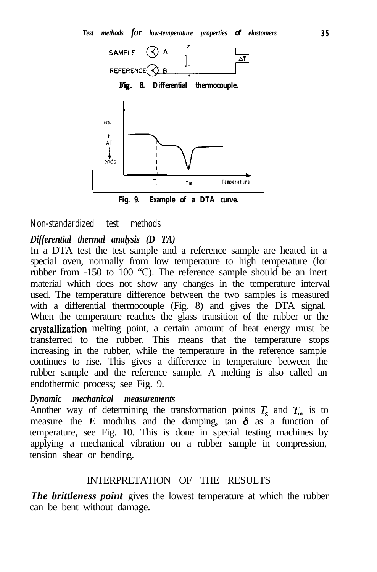



**Fig. 9. Example of a DTA curve.**

#### **Non-standardized test methods**

# *Differential thermal analysis (D TA)*

In a DTA test the test sample and a reference sample are heated in a special oven, normally from low temperature to high temperature (for rubber from -150 to 100 "C). The reference sample should be an inert material which does not show any changes in the temperature interval used. The temperature difference between the two samples is measured with a differential thermocouple (Fig. 8) and gives the DTA signal. When the temperature reaches the glass transition of the rubber or the crystallization melting point, a certain amount of heat energy must be transferred to the rubber. This means that the temperature stops increasing in the rubber, while the temperature in the reference sample continues to rise. This gives a difference in temperature between the rubber sample and the reference sample. A melting is also called an endothermic process; see Fig. 9.

#### *Dynamic mechanical measurements*

Another way of determining the transformation points  $T_g$  and  $T_m$  is to measure the  $E$  modulus and the damping, tan  $\delta$  as a function of temperature, see Fig. 10. This is done in special testing machines by applying a mechanical vibration on a rubber sample in compression, tension shear or bending.

### INTERPRETATION OF THE RESULTS

*The brittleness point* gives the lowest temperature at which the rubber can be bent without damage.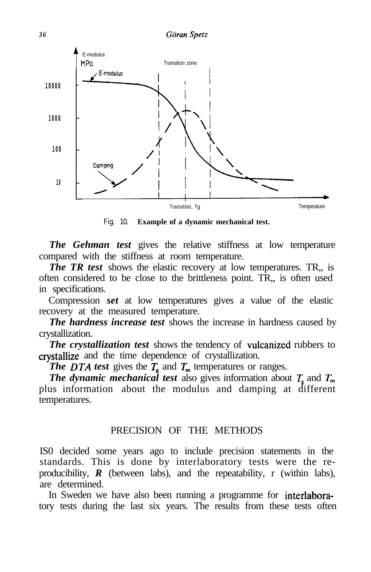

Fig. 10. **Example of a dynamic mechanical test.**

*The Gehman test* gives the relative stiffness at low temperature compared with the stiffness at room temperature.

*The TR test* shows the elastic recovery at low temperatures. TR, is often considered to be close to the brittleness point. TR,, is often used in specifications.

Compression *set* at low temperatures gives a value of the elastic recovery at the measured temperature.

*The hardness increase test* shows the increase in hardness caused by crystallization.

*The crystallization test* shows the tendency of vulcanized rubbers to crystallize and the time dependence of crystallization.

*The DTA test* gives the  $T_{g}$  and  $T_{m}$  temperatures or ranges.

*The dynamic mechanical test* also gives information about  $T_{g}$  and  $T_{m}$ plus information about the modulus and damping at different temperatures.

### PRECISION OF THE METHODS

IS0 decided some years ago to include precision statements in the standards. This is done by interlaboratory tests were the reproducibility, *R* (between labs), and the repeatability, r (within labs), are determined.

In Sweden we have also been running a programme for interlaboratory tests during the last six years. The results from these tests often